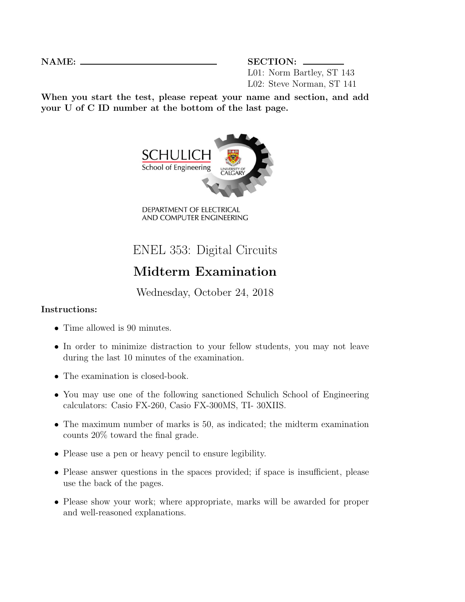NAME: SECTION: L01: Norm Bartley, ST 143 L02: Steve Norman, ST 141

When you start the test, please repeat your name and section, and add your U of C ID number at the bottom of the last page.



DEPARTMENT OF ELECTRICAL AND COMPUTER ENGINEERING

## ENEL 353: Digital Circuits

## Midterm Examination

Wednesday, October 24, 2018

## Instructions:

- Time allowed is 90 minutes.
- In order to minimize distraction to your fellow students, you may not leave during the last 10 minutes of the examination.
- The examination is closed-book.
- You may use one of the following sanctioned Schulich School of Engineering calculators: Casio FX-260, Casio FX-300MS, TI- 30XIIS.
- The maximum number of marks is 50, as indicated; the midterm examination counts 20% toward the final grade.
- Please use a pen or heavy pencil to ensure legibility.
- Please answer questions in the spaces provided; if space is insufficient, please use the back of the pages.
- Please show your work; where appropriate, marks will be awarded for proper and well-reasoned explanations.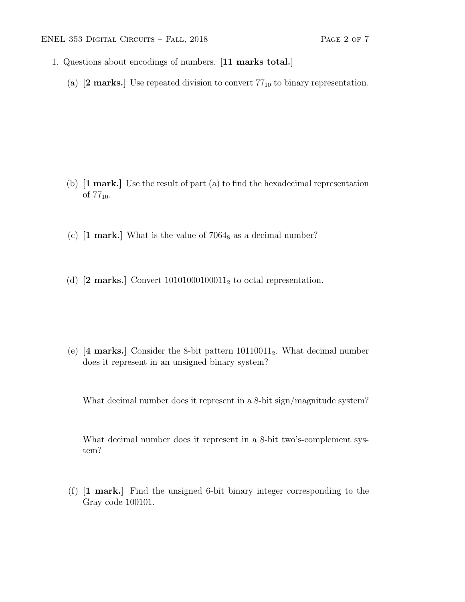- 1. Questions about encodings of numbers. [11 marks total.]
	- (a)  $[2 \text{ marks.}]$  Use repeated division to convert  $77_{10}$  to binary representation.

- (b) [1 mark.] Use the result of part (a) to find the hexadecimal representation of  $77_{10}$ .
- (c)  $\lceil 1 \text{ mark.} \rceil$  What is the value of 7064<sub>8</sub> as a decimal number?
- (d)  $[2 \text{ marks.}]$  Convert 10101000100011<sub>2</sub> to octal representation.

(e)  $[4 \text{ marks.}]$  Consider the 8-bit pattern  $10110011_2$ . What decimal number does it represent in an unsigned binary system?

What decimal number does it represent in a 8-bit sign/magnitude system?

What decimal number does it represent in a 8-bit two's-complement system?

(f) [1 mark.] Find the unsigned 6-bit binary integer corresponding to the Gray code 100101.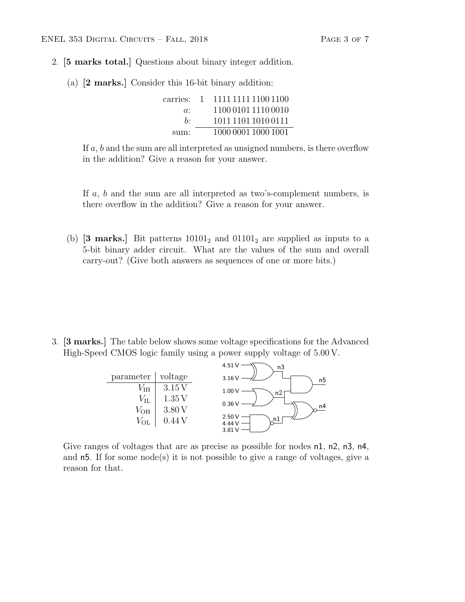- 2. [5 marks total.] Questions about binary integer addition.
	- (a) [2 marks.] Consider this 16-bit binary addition:

| carries: | $\overline{1}$ | 1111 1111 1100 1100 |
|----------|----------------|---------------------|
| $a$ :    |                | 1100 0101 1110 0010 |
| h٠       |                | 1011 1101 1010 0111 |
| sum:     |                | 1000 0001 1000 1001 |

If  $a, b$  and the sum are all interpreted as unsigned numbers, is there overflow in the addition? Give a reason for your answer.

If a, b and the sum are all interpreted as two's-complement numbers, is there overflow in the addition? Give a reason for your answer.

(b) **[3 marks.**] Bit patterns  $10101<sub>2</sub>$  and  $01101<sub>2</sub>$  are supplied as inputs to a 5-bit binary adder circuit. What are the values of the sum and overall carry-out? (Give both answers as sequences of one or more bits.)

3. [3 marks.] The table below shows some voltage specifications for the Advanced High-Speed CMOS logic family using a power supply voltage of 5.00 V.



Give ranges of voltages that are as precise as possible for nodes n1, n2, n3, n4, and  $n5$ . If for some node(s) it is not possible to give a range of voltages, give a reason for that.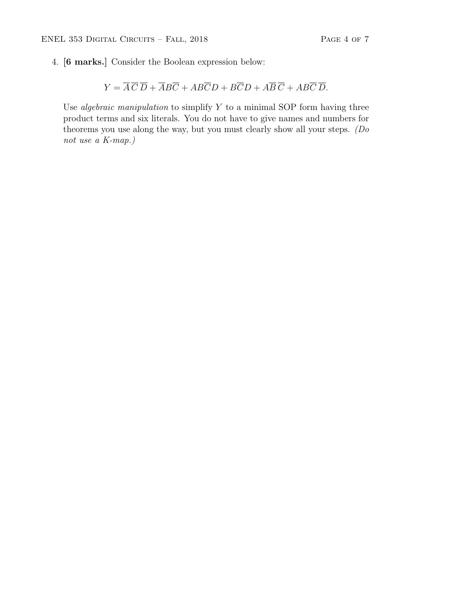4. [6 marks.] Consider the Boolean expression below:

$$
Y = \overline{A}\,\overline{C}\,\overline{D} + \overline{A}B\overline{C} + AB\overline{C}D + B\overline{C}D + A\overline{B}\,\overline{C} + AB\overline{C}\,\overline{D}.
$$

Use *algebraic manipulation* to simplify  $Y$  to a minimal SOP form having three product terms and six literals. You do not have to give names and numbers for theorems you use along the way, but you must clearly show all your steps. (Do not use a K-map.)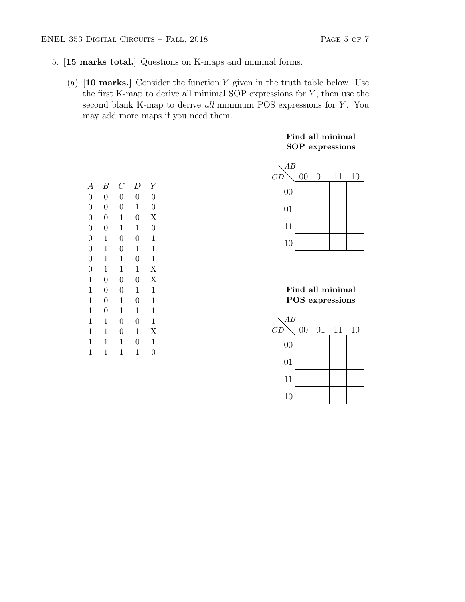- 5. [15 marks total.] Questions on K-maps and minimal forms.
	- (a)  $[10 \text{ marks.}]$  Consider the function Y given in the truth table below. Use the first K-map to derive all minimal SOP expressions for  $Y$ , then use the second blank K-map to derive all minimum POS expressions for Y. You may add more maps if you need them.

|  | Find all minimal       |
|--|------------------------|
|  | <b>SOP</b> expressions |



|  | Find all minimal |
|--|------------------|
|  | POS expressions  |



| А              | В              | $\, C \,$      | D              | Υ                     |
|----------------|----------------|----------------|----------------|-----------------------|
| $\overline{0}$ | $\overline{0}$ | $\overline{0}$ | $\overline{0}$ | $\overline{0}$        |
| $\overline{0}$ | $\overline{0}$ | $\overline{0}$ | $\mathbf 1$    | $\overline{0}$        |
| $\overline{0}$ | $\overline{0}$ | $\mathbf{1}$   | $\overline{0}$ | X                     |
| $\overline{0}$ | $\overline{0}$ | $\mathbf{1}$   | $\mathbf{1}$   | $\overline{0}$        |
| $\overline{0}$ | $\mathbf{1}$   | $\overline{0}$ | $\overline{0}$ | $\mathbf 1$           |
| $\overline{0}$ | 1              | $\overline{0}$ | $\mathbf{1}$   | $\mathbf{1}$          |
| $\overline{0}$ | 1              | $\mathbf 1$    | $\overline{0}$ | $\mathbf{1}$          |
| $\overline{0}$ | 1              | $\mathbf{1}$   | $\mathbf{1}$   | X                     |
| $\mathbf{1}$   | $\overline{0}$ | $\overline{0}$ | $\overline{0}$ | $\overline{\text{X}}$ |
| $\mathbf{1}$   | $\overline{0}$ | $\overline{0}$ | $\mathbf 1$    | $\mathbf 1$           |
| $\mathbf{1}$   | $\overline{0}$ | $\mathbf{1}$   | $\overline{0}$ | $\mathbf{1}$          |
| $\mathbf 1$    | $\overline{0}$ | $\mathbf{1}$   | $\mathbf{1}$   | $\mathbf{1}$          |
| $\mathbf{1}$   | 1              | $\overline{0}$ | $\overline{0}$ | $\mathbf{1}$          |
| $\mathbf 1$    | 1              | $\overline{0}$ | $\mathbf{1}$   | $\overline{X}$        |
| $\mathbf 1$    | 1              | 1              | $\overline{0}$ | $\mathbf{1}$          |
| $\mathbf{1}$   | 1              | 1              | 1              | $\overline{0}$        |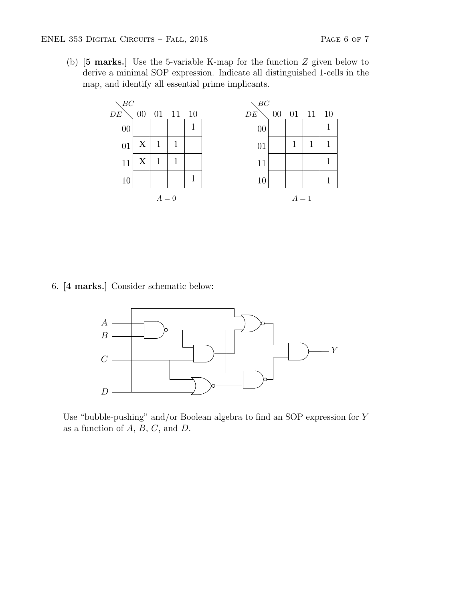(b) [5 marks.] Use the 5-variable K-map for the function Z given below to derive a minimal SOP expression. Indicate all distinguished 1-cells in the map, and identify all essential prime implicants.



6. [4 marks.] Consider schematic below:



Use "bubble-pushing" and/or Boolean algebra to find an SOP expression for Y as a function of  $A, B, C$ , and  $D$ .